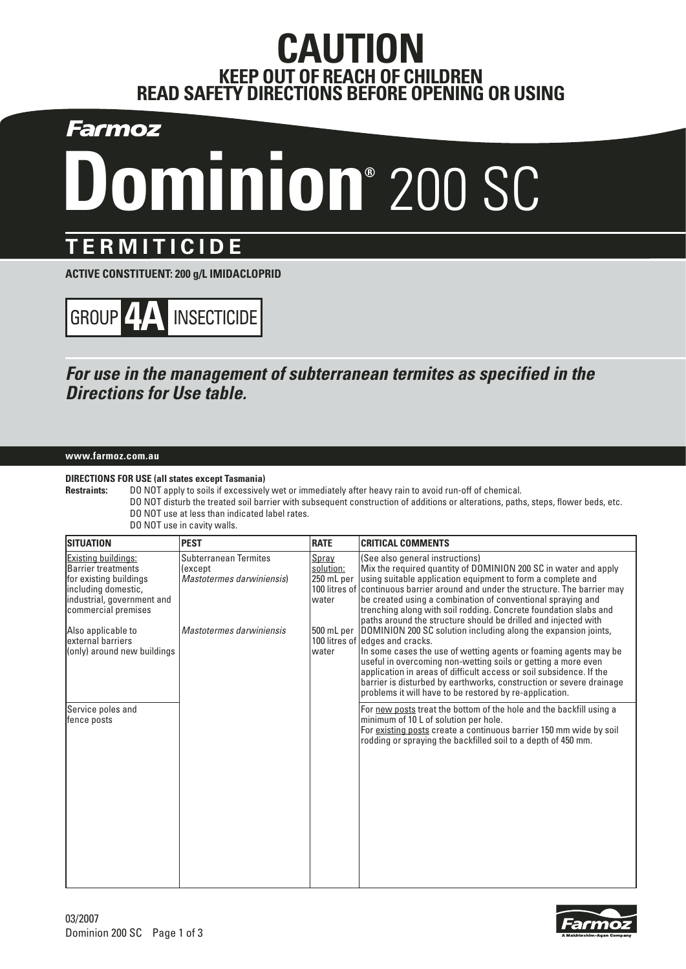## **CAUTION KEEP OUT OF REACH OF CHILDREN READ SAFETY DIRECTIONS BEFORE OPENING OR USING**

Farmoz

# **Dominion®** 200 SC

## **TERMITICIDE**

**ACTIVE CONSTITUENT: 200 g/L IMIDACLOPRID**



### **For use in the management of subterranean termites as specified in the Directions for Use table.**

#### **www.farmoz.com.au**

#### **DIRECTIONS FOR USE (all states except Tasmania)**

**Restraints:** DO NOT apply to soils if excessively wet or immediately after heavy rain to avoid run-off of chemical. DO NOT disturb the treated soil barrier with subsequent construction of additions or alterations, paths, steps, flower beds, etc. DO NOT use at less than indicated label rates.

| DO NOT use in cavity walls. |  |  |  |  |
|-----------------------------|--|--|--|--|
|-----------------------------|--|--|--|--|

| <b>ISITUATION</b>                                                                                                                                      | <b>PEST</b>                                                           | <b>RATE</b>                               | <b>CRITICAL COMMENTS</b>                                                                                                                                                                                                                                                                                                                                                                                                                                   |
|--------------------------------------------------------------------------------------------------------------------------------------------------------|-----------------------------------------------------------------------|-------------------------------------------|------------------------------------------------------------------------------------------------------------------------------------------------------------------------------------------------------------------------------------------------------------------------------------------------------------------------------------------------------------------------------------------------------------------------------------------------------------|
| <b>Existing buildings:</b><br>Barrier treatments<br>for existing buildings<br>including domestic,<br>industrial, government and<br>commercial premises | <b>Subterranean Termites</b><br>(except)<br>Mastotermes darwiniensis) | Spray<br>solution:<br>250 mL per<br>water | (See also general instructions)<br>Mix the required quantity of DOMINION 200 SC in water and apply<br>using suitable application equipment to form a complete and<br>100 litres of continuous barrier around and under the structure. The barrier may<br>be created using a combination of conventional spraying and<br>trenching along with soil rodding. Concrete foundation slabs and<br>paths around the structure should be drilled and injected with |
| Also applicable to<br>lexternal barriers<br>(only) around new buildings                                                                                | Mastotermes darwiniensis                                              | 500 mL per<br>water                       | DOMINION 200 SC solution including along the expansion joints,<br>100 litres of edges and cracks.<br>In some cases the use of wetting agents or foaming agents may be<br>useful in overcoming non-wetting soils or getting a more even<br>application in areas of difficult access or soil subsidence. If the<br>barrier is disturbed by earthworks, construction or severe drainage<br>problems it will have to be restored by re-application.            |
| Service poles and<br>fence posts                                                                                                                       |                                                                       |                                           | For new posts treat the bottom of the hole and the backfill using a<br>minimum of 10 L of solution per hole.<br>For existing posts create a continuous barrier 150 mm wide by soil<br>rodding or spraying the backfilled soil to a depth of 450 mm.                                                                                                                                                                                                        |

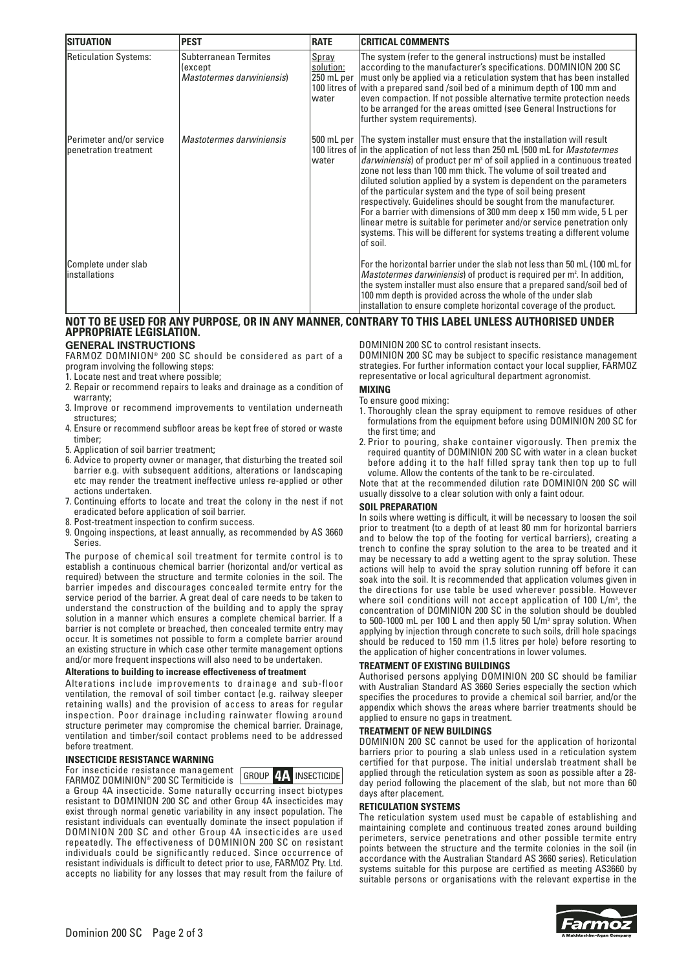| <b>ISITUATION</b>                                  | <b>PEST</b>                                                          | <b>RATE</b>                               | <b>CRITICAL COMMENTS</b>                                                                                                                                                                                                                                                                                                                                                                                                                                                                                                                                                                                                                                                                                                                                                           |
|----------------------------------------------------|----------------------------------------------------------------------|-------------------------------------------|------------------------------------------------------------------------------------------------------------------------------------------------------------------------------------------------------------------------------------------------------------------------------------------------------------------------------------------------------------------------------------------------------------------------------------------------------------------------------------------------------------------------------------------------------------------------------------------------------------------------------------------------------------------------------------------------------------------------------------------------------------------------------------|
| <b>Reticulation Systems:</b>                       | <b>Subterranean Termites</b><br>(except<br>Mastotermes darwiniensis) | Spray<br>solution:<br>250 mL per<br>water | The system (refer to the general instructions) must be installed<br>according to the manufacturer's specifications. DOMINION 200 SC<br>must only be applied via a reticulation system that has been installed<br>100 litres of with a prepared sand /soil bed of a minimum depth of 100 mm and<br>even compaction. If not possible alternative termite protection needs<br>to be arranged for the areas omitted (see General Instructions for<br>further system requirements).                                                                                                                                                                                                                                                                                                     |
| Perimeter and/or service<br>Ipenetration treatment | Mastotermes darwiniensis                                             | 500 mL per<br>water                       | The system installer must ensure that the installation will result<br>100 litres of in the application of not less than 250 mL (500 mL for <i>Mastotermes</i><br><i>darwiniensis</i> ) of product per m <sup>3</sup> of soil applied in a continuous treated<br>zone not less than 100 mm thick. The volume of soil treated and<br>diluted solution applied by a system is dependent on the parameters<br>of the particular system and the type of soil being present<br>respectively. Guidelines should be sought from the manufacturer.<br>For a barrier with dimensions of 300 mm deep x 150 mm wide, 5 L per<br>linear metre is suitable for perimeter and/or service penetration only<br>systems. This will be different for systems treating a different volume<br>lof soil. |
| Complete under slab<br>linstallations              |                                                                      |                                           | For the horizontal barrier under the slab not less than 50 mL (100 mL for<br><i>Mastotermes darwiniensis</i> ) of product is required per m <sup>2</sup> . In addition,<br>the system installer must also ensure that a prepared sand/soil bed of<br>100 mm depth is provided across the whole of the under slab<br>installation to ensure complete horizontal coverage of the product.                                                                                                                                                                                                                                                                                                                                                                                            |

#### **NOT TO BE USED FOR ANY PURPOSE, OR IN ANY MANNER, CONTRARY TO THIS LABEL UNLESS AUTHORISED UNDER APPROPRIATE LEGISLATION.**

#### **GENERAL INSTRUCTIONS**

FARMOZ DOMINION® 200 SC should be considered as part of a program involving the following steps:

1. Locate nest and treat where possible;

- 2. Repair or recommend repairs to leaks and drainage as a condition of warranty;
- 3. Improve or recommend improvements to ventilation underneath structures;
- 4. Ensure or recommend subfloor areas be kept free of stored or waste timber;
- 5. Application of soil barrier treatment;
- 6. Advice to property owner or manager, that disturbing the treated soil barrier e.g. with subsequent additions, alterations or landscaping etc may render the treatment ineffective unless re-applied or other actions undertaken.
- 7. Continuing efforts to locate and treat the colony in the nest if not eradicated before application of soil barrier.
- 8. Post-treatment inspection to confirm success.
- 9. Ongoing inspections, at least annually, as recommended by AS 3660 Series.

The purpose of chemical soil treatment for termite control is to establish a continuous chemical barrier (horizontal and/or vertical as required) between the structure and termite colonies in the soil. The barrier impedes and discourages concealed termite entry for the service period of the barrier. A great deal of care needs to be taken to understand the construction of the building and to apply the spray solution in a manner which ensures a complete chemical barrier. If a barrier is not complete or breached, then concealed termite entry may occur. It is sometimes not possible to form a complete barrier around an existing structure in which case other termite management options and/or more frequent inspections will also need to be undertaken.

#### **Alterations to building to increase effectiveness of treatment**

Alterations include improvements to drainage and sub-floor ventilation, the removal of soil timber contact (e.g. railway sleeper retaining walls) and the provision of access to areas for regular inspection. Poor drainage including rainwater flowing around structure perimeter may compromise the chemical barrier. Drainage, ventilation and timber/soil contact problems need to be addressed before treatment.

#### **INSECTICIDE RESISTANCE WARNING**

For insecticide resistance management



FARMOZ DOMINION® 200 SC Termiticide is a Group 4A insecticide. Some naturally occurring insect biotypes resistant to DOMINION 200 SC and other Group 4A insecticides may exist through normal genetic variability in any insect population. The resistant individuals can eventually dominate the insect population if DOMINION 200 SC and other Group 4A insecticides are used repeatedly. The effectiveness of DOMINION 200 SC on resistant individuals could be significantly reduced. Since occurrence of resistant individuals is difficult to detect prior to use, FARMOZ Pty. Ltd. accepts no liability for any losses that may result from the failure of

DOMINION 200 SC to control resistant insects.

DOMINION 200 SC may be subject to specific resistance management strategies. For further information contact your local supplier, FARMOZ representative or local agricultural department agronomist.

#### **MIXING**

- To ensure good mixing:
- 1. Thoroughly clean the spray equipment to remove residues of other formulations from the equipment before using DOMINION 200 SC for the first time; and
- 2. Prior to pouring, shake container vigorously. Then premix the required quantity of DOMINION 200 SC with water in a clean bucket before adding it to the half filled spray tank then top up to full volume. Allow the contents of the tank to be re-circulated.

Note that at the recommended dilution rate DOMINION 200 SC will usually dissolve to a clear solution with only a faint odour.

#### **SOIL PREPARATION**

In soils where wetting is difficult, it will be necessary to loosen the soil prior to treatment (to a depth of at least 80 mm for horizontal barriers and to below the top of the footing for vertical barriers), creating a trench to confine the spray solution to the area to be treated and it may be necessary to add a wetting agent to the spray solution. These actions will help to avoid the spray solution running off before it can soak into the soil. It is recommended that application volumes given in the directions for use table be used wherever possible. However where soil conditions will not accept application of 100 L/m<sup>3</sup>, the concentration of DOMINION 200 SC in the solution should be doubled to 500-1000 mL per 100 L and then apply 50 L/m<sup>3</sup> spray solution. When applying by injection through concrete to such soils, drill hole spacings should be reduced to 150 mm (1.5 litres per hole) before resorting to the application of higher concentrations in lower volumes.

#### **TREATMENT OF EXISTING BUILDINGS**

Authorised persons applying DOMINION 200 SC should be familiar with Australian Standard AS 3660 Series especially the section which specifies the procedures to provide a chemical soil barrier, and/or the appendix which shows the areas where barrier treatments should be applied to ensure no gaps in treatment.

#### **TREATMENT OF NEW BUILDINGS**

DOMINION 200 SC cannot be used for the application of horizontal barriers prior to pouring a slab unless used in a reticulation system certified for that purpose. The initial underslab treatment shall be applied through the reticulation system as soon as possible after a 28 day period following the placement of the slab, but not more than 60 days after placement.

#### **RETICULATION SYSTEMS**

The reticulation system used must be capable of establishing and maintaining complete and continuous treated zones around building perimeters, service penetrations and other possible termite entry points between the structure and the termite colonies in the soil (in accordance with the Australian Standard AS 3660 series). Reticulation systems suitable for this purpose are certified as meeting AS3660 by suitable persons or organisations with the relevant expertise in the